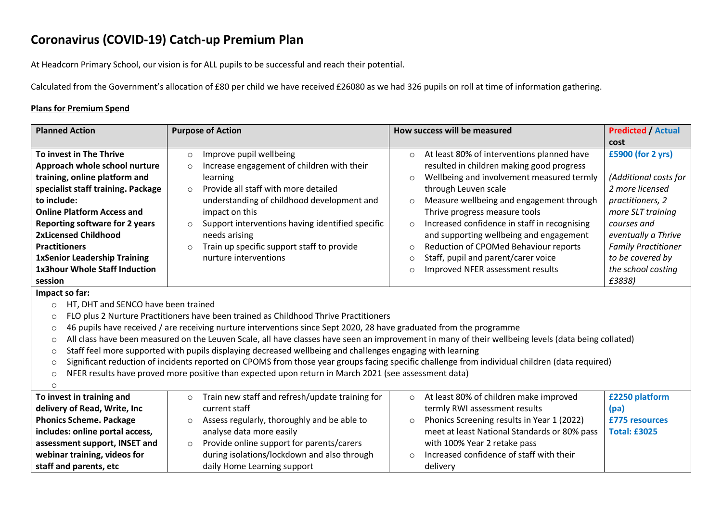## **Coronavirus (COVID-19) Catch-up Premium Plan**

At Headcorn Primary School, our vision is for ALL pupils to be successful and reach their potential.

Calculated from the Government's allocation of £80 per child we have received £26080 as we had 326 pupils on roll at time of information gathering.

## **Plans for Premium Spend**

| <b>Planned Action</b>                                                                                                 | <b>Purpose of Action</b>                                                                                                                            | How success will be measured                            | <b>Predicted / Actual</b>  |  |
|-----------------------------------------------------------------------------------------------------------------------|-----------------------------------------------------------------------------------------------------------------------------------------------------|---------------------------------------------------------|----------------------------|--|
|                                                                                                                       |                                                                                                                                                     |                                                         | cost                       |  |
| To invest in The Thrive                                                                                               | Improve pupil wellbeing<br>$\circ$                                                                                                                  | At least 80% of interventions planned have<br>$\circ$   | £5900 (for 2 yrs)          |  |
| Approach whole school nurture                                                                                         | Increase engagement of children with their<br>$\circ$                                                                                               | resulted in children making good progress               |                            |  |
| training, online platform and                                                                                         | learning                                                                                                                                            | Wellbeing and involvement measured termly<br>$\circ$    | (Additional costs for      |  |
| specialist staff training. Package                                                                                    | Provide all staff with more detailed<br>$\circ$                                                                                                     | through Leuven scale                                    | 2 more licensed            |  |
| to include:                                                                                                           | understanding of childhood development and                                                                                                          | Measure wellbeing and engagement through<br>$\circ$     | practitioners, 2           |  |
| <b>Online Platform Access and</b>                                                                                     | impact on this                                                                                                                                      | Thrive progress measure tools                           | more SLT training          |  |
| <b>Reporting software for 2 years</b>                                                                                 | Support interventions having identified specific<br>$\circ$                                                                                         | Increased confidence in staff in recognising<br>$\circ$ | courses and                |  |
| <b>2xLicensed Childhood</b>                                                                                           | needs arising                                                                                                                                       | and supporting wellbeing and engagement                 | eventually a Thrive        |  |
| <b>Practitioners</b>                                                                                                  | Train up specific support staff to provide<br>$\circ$                                                                                               | Reduction of CPOMed Behaviour reports<br>$\circ$        | <b>Family Practitioner</b> |  |
| <b>1xSenior Leadership Training</b>                                                                                   | nurture interventions                                                                                                                               | Staff, pupil and parent/carer voice<br>$\circ$          | to be covered by           |  |
| <b>1x3hour Whole Staff Induction</b>                                                                                  |                                                                                                                                                     | Improved NFER assessment results<br>$\circ$             | the school costing         |  |
| session                                                                                                               |                                                                                                                                                     |                                                         | £3838)                     |  |
| Impact so far:                                                                                                        |                                                                                                                                                     |                                                         |                            |  |
| HT, DHT and SENCO have been trained<br>$\circ$                                                                        |                                                                                                                                                     |                                                         |                            |  |
| $\circ$                                                                                                               | FLO plus 2 Nurture Practitioners have been trained as Childhood Thrive Practitioners                                                                |                                                         |                            |  |
| $\circ$                                                                                                               | 46 pupils have received / are receiving nurture interventions since Sept 2020, 28 have graduated from the programme                                 |                                                         |                            |  |
| $\circ$                                                                                                               | All class have been measured on the Leuven Scale, all have classes have seen an improvement in many of their wellbeing levels (data being collated) |                                                         |                            |  |
| Staff feel more supported with pupils displaying decreased wellbeing and challenges engaging with learning<br>$\circ$ |                                                                                                                                                     |                                                         |                            |  |
| $\circ$                                                                                                               | Significant reduction of incidents reported on CPOMS from those year groups facing specific challenge from individual children (data required)      |                                                         |                            |  |
| $\circ$                                                                                                               | NFER results have proved more positive than expected upon return in March 2021 (see assessment data)                                                |                                                         |                            |  |
| $\circ$                                                                                                               |                                                                                                                                                     |                                                         |                            |  |
| To invest in training and                                                                                             | Train new staff and refresh/update training for<br>$\circ$                                                                                          | At least 80% of children make improved<br>$\circ$       | £2250 platform             |  |
| delivery of Read, Write, Inc                                                                                          | current staff                                                                                                                                       | termly RWI assessment results                           | (pa)                       |  |
| <b>Phonics Scheme. Package</b>                                                                                        | Assess regularly, thoroughly and be able to<br>$\circ$                                                                                              | Phonics Screening results in Year 1 (2022)<br>$\circ$   | £775 resources             |  |
| includes: online portal access,                                                                                       | analyse data more easily                                                                                                                            | meet at least National Standards or 80% pass            | <b>Total: £3025</b>        |  |
| assessment support, INSET and                                                                                         | Provide online support for parents/carers<br>$\circ$                                                                                                | with 100% Year 2 retake pass                            |                            |  |
| webinar training, videos for                                                                                          | during isolations/lockdown and also through                                                                                                         | Increased confidence of staff with their<br>$\circ$     |                            |  |
| staff and parents, etc                                                                                                | daily Home Learning support                                                                                                                         | delivery                                                |                            |  |
|                                                                                                                       |                                                                                                                                                     |                                                         |                            |  |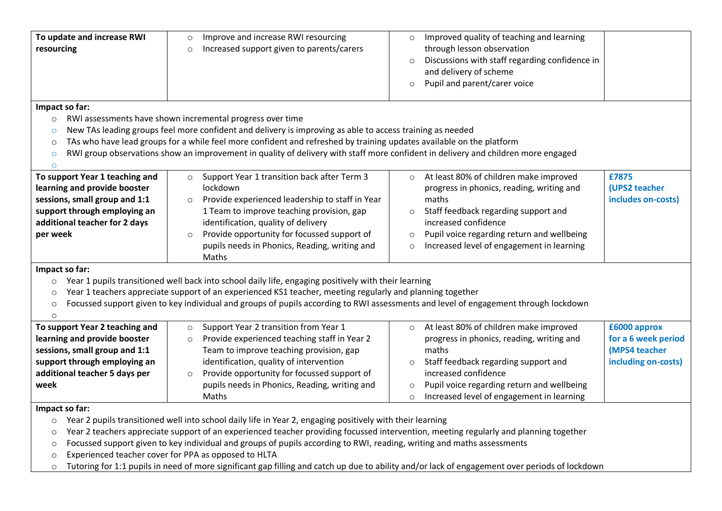| To update and increase RWI     | Improve and increase RWI resourcing<br>$\circ$                                                                                        | Improved quality of teaching and learning<br>$\circ$      |                     |
|--------------------------------|---------------------------------------------------------------------------------------------------------------------------------------|-----------------------------------------------------------|---------------------|
| resourcing                     | Increased support given to parents/carers<br>$\circ$                                                                                  | through lesson observation                                |                     |
|                                |                                                                                                                                       | Discussions with staff regarding confidence in<br>$\circ$ |                     |
|                                |                                                                                                                                       | and delivery of scheme                                    |                     |
|                                |                                                                                                                                       | Pupil and parent/carer voice<br>$\circ$                   |                     |
|                                |                                                                                                                                       |                                                           |                     |
| Impact so far:                 |                                                                                                                                       |                                                           |                     |
| $\circ$                        | RWI assessments have shown incremental progress over time                                                                             |                                                           |                     |
| $\circ$                        | New TAs leading groups feel more confident and delivery is improving as able to access training as needed                             |                                                           |                     |
| $\circ$                        | TAs who have lead groups for a while feel more confident and refreshed by training updates available on the platform                  |                                                           |                     |
| $\circ$                        | RWI group observations show an improvement in quality of delivery with staff more confident in delivery and children more engaged     |                                                           |                     |
| $\circ$                        |                                                                                                                                       |                                                           |                     |
| To support Year 1 teaching and | Support Year 1 transition back after Term 3<br>$\circ$                                                                                | At least 80% of children make improved<br>$\circ$         | £7875               |
| learning and provide booster   | lockdown                                                                                                                              | progress in phonics, reading, writing and                 | (UPS2 teacher       |
| sessions, small group and 1:1  | Provide experienced leadership to staff in Year<br>$\circ$                                                                            | maths                                                     | includes on-costs)  |
| support through employing an   | 1 Team to improve teaching provision, gap                                                                                             | Staff feedback regarding support and<br>$\circ$           |                     |
| additional teacher for 2 days  | identification, quality of delivery                                                                                                   | increased confidence                                      |                     |
| per week                       | Provide opportunity for focussed support of<br>$\circ$                                                                                | Pupil voice regarding return and wellbeing<br>$\circ$     |                     |
|                                | pupils needs in Phonics, Reading, writing and                                                                                         | Increased level of engagement in learning<br>$\circ$      |                     |
|                                | Maths                                                                                                                                 |                                                           |                     |
| Impact so far:                 |                                                                                                                                       |                                                           |                     |
| $\circ$                        | Year 1 pupils transitioned well back into school daily life, engaging positively with their learning                                  |                                                           |                     |
| $\circ$                        | Year 1 teachers appreciate support of an experienced KS1 teacher, meeting regularly and planning together                             |                                                           |                     |
| $\circ$                        | Focussed support given to key individual and groups of pupils according to RWI assessments and level of engagement through lockdown   |                                                           |                     |
| $\circ$                        |                                                                                                                                       |                                                           |                     |
| To support Year 2 teaching and | Support Year 2 transition from Year 1<br>$\circ$                                                                                      | At least 80% of children make improved<br>$\circ$         | £6000 approx        |
| learning and provide booster   | Provide experienced teaching staff in Year 2<br>$\circ$                                                                               | progress in phonics, reading, writing and                 | for a 6 week period |
| sessions, small group and 1:1  | Team to improve teaching provision, gap                                                                                               | maths                                                     | (MPS4 teacher       |
| support through employing an   | identification, quality of intervention                                                                                               | Staff feedback regarding support and<br>$\circ$           | including on-costs) |
| additional teacher 5 days per  | Provide opportunity for focussed support of<br>$\circ$                                                                                | increased confidence                                      |                     |
| week                           | pupils needs in Phonics, Reading, writing and                                                                                         | Pupil voice regarding return and wellbeing<br>$\circ$     |                     |
|                                | Maths                                                                                                                                 | Increased level of engagement in learning<br>$\circ$      |                     |
| Impact so far:                 |                                                                                                                                       |                                                           |                     |
| $\circ$                        | Year 2 pupils transitioned well into school daily life in Year 2, engaging positively with their learning                             |                                                           |                     |
| $\circ$                        | Year 2 teachers appreciate support of an experienced teacher providing focussed intervention, meeting regularly and planning together |                                                           |                     |

- o Focussed support given to key individual and groups of pupils according to RWI, reading, writing and maths assessments
- o Experienced teacher cover for PPA as opposed to HLTA
- o Tutoring for 1:1 pupils in need of more significant gap filling and catch up due to ability and/or lack of engagement over periods of lockdown